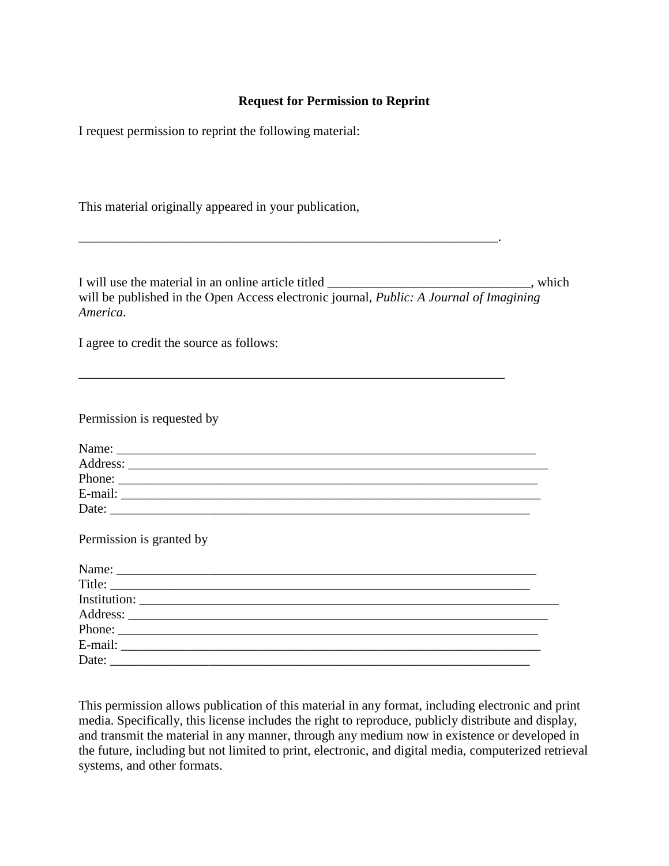### **Request for Permission to Reprint**

I request permission to reprint the following material:

This material originally appeared in your publication,

I will use the material in an online article titled \_\_\_\_\_\_\_\_\_\_\_\_\_\_\_\_\_\_\_\_\_\_\_\_\_\_\_\_, which will be published in the Open Access electronic journal, *[Public: A Journal of Imagining](http://public.imaginingamerica.org/)  [America](http://public.imaginingamerica.org/)*[.](http://./)

\_\_\_\_\_\_\_\_\_\_\_\_\_\_\_\_\_\_\_\_\_\_\_\_\_\_\_\_\_\_\_\_\_\_\_\_\_\_\_\_\_\_\_\_\_\_\_\_\_\_\_\_\_\_\_\_\_\_\_\_\_\_\_\_.

\_\_\_\_\_\_\_\_\_\_\_\_\_\_\_\_\_\_\_\_\_\_\_\_\_\_\_\_\_\_\_\_\_\_\_\_\_\_\_\_\_\_\_\_\_\_\_\_\_\_\_\_\_\_\_\_\_\_\_\_\_\_\_\_\_

I agree to credit the source as follows:

Permission is requested by

| Name:    |  |
|----------|--|
| Address: |  |
| Phone:   |  |
| E-mail:  |  |
| Date:    |  |

Permission is granted by

| Title: |  |  |
|--------|--|--|
|        |  |  |
|        |  |  |
|        |  |  |
|        |  |  |
|        |  |  |

This permission allows publication of this material in any format, including electronic and print media. Specifically, this license includes the right to reproduce, publicly distribute and display, and transmit the material in any manner, through any medium now in existence or developed in the future, including but not limited to print, electronic, and digital media, computerized retrieval systems, and other formats.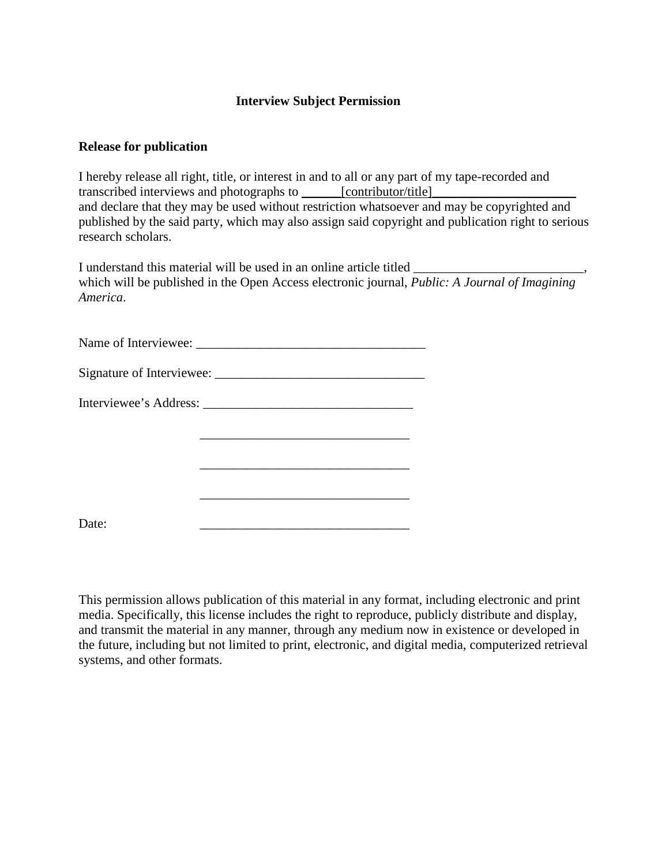## **Interview Subject Permission**

#### **Release for publication**

I hereby release all right, title, or interest in and to all or any part of my tape-recorded and transcribed interviews and photographs to <u>contributor/title</u> and declare that they may be used without restriction whatsoever and may be copyrighted and published by the said party, which may also assign said copyright and publication right to serious research scholars.

I understand this material will be used in an online article titled \_\_\_\_\_\_\_\_\_\_\_\_ which will be published in the Open Access electronic journal, *[Public: A Journal of Imagining](http://public.imaginingamerica.org/)  [America](http://public.imaginingamerica.org/)*[.](http://./)

|       | the control of the control of the control of the control of the control of the control of |
|-------|-------------------------------------------------------------------------------------------|
|       |                                                                                           |
|       |                                                                                           |
|       |                                                                                           |
| Date: |                                                                                           |

This permission allows publication of this material in any format, including electronic and print media. Specifically, this license includes the right to reproduce, publicly distribute and display, and transmit the material in any manner, through any medium now in existence or developed in the future, including but not limited to print, electronic, and digital media, computerized retrieval systems, and other formats.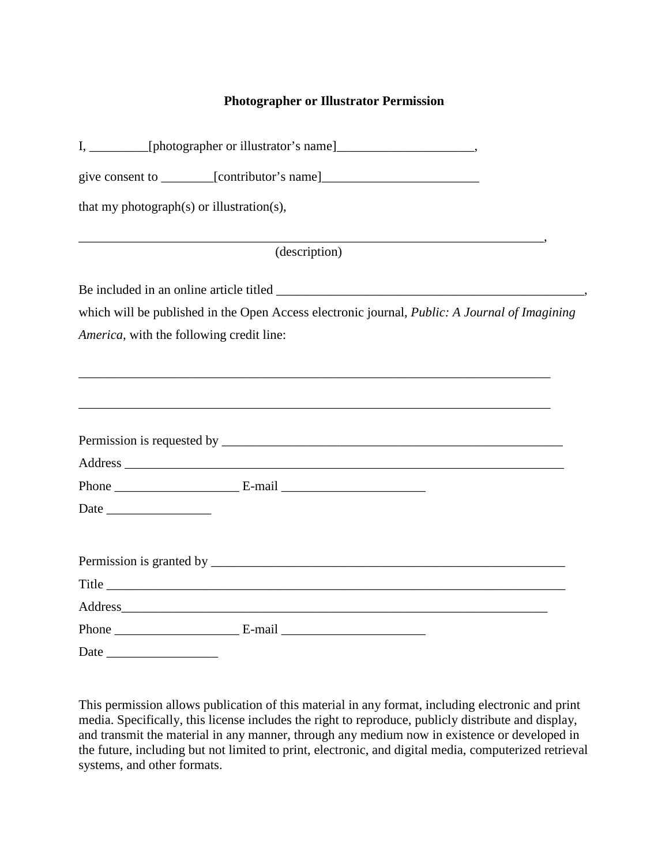## **Photographer or Illustrator Permission**

|                                           | I, ___________[photographer or illustrator's name]______________________________              |  |  |  |  |
|-------------------------------------------|-----------------------------------------------------------------------------------------------|--|--|--|--|
|                                           | give consent to __________[contributor's name]__________________________________              |  |  |  |  |
| that my photograph(s) or illustration(s), |                                                                                               |  |  |  |  |
|                                           | (description)                                                                                 |  |  |  |  |
|                                           |                                                                                               |  |  |  |  |
|                                           | which will be published in the Open Access electronic journal, Public: A Journal of Imagining |  |  |  |  |
| America, with the following credit line:  |                                                                                               |  |  |  |  |
|                                           |                                                                                               |  |  |  |  |
|                                           |                                                                                               |  |  |  |  |
|                                           |                                                                                               |  |  |  |  |
|                                           |                                                                                               |  |  |  |  |
|                                           |                                                                                               |  |  |  |  |
|                                           | Address                                                                                       |  |  |  |  |
|                                           |                                                                                               |  |  |  |  |
|                                           |                                                                                               |  |  |  |  |

This permission allows publication of this material in any format, including electronic and print media. Specifically, this license includes the right to reproduce, publicly distribute and display, and transmit the material in any manner, through any medium now in existence or developed in the future, including but not limited to print, electronic, and digital media, computerized retrieval systems, and other formats.